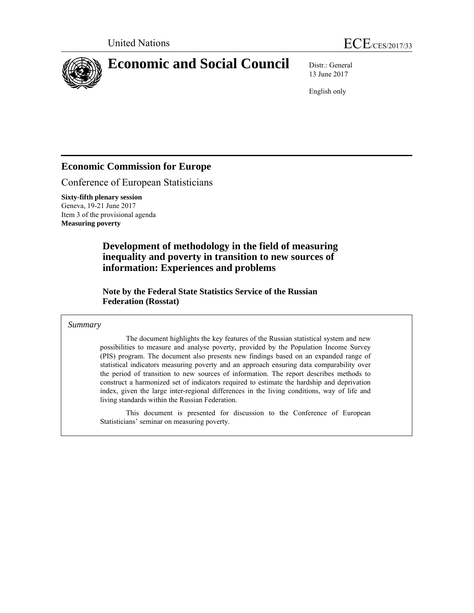



13 June 2017

English only

# **Economic Commission for Europe**

Conference of European Statisticians

**Sixty-fifth plenary session**  Geneva, 19-21 June 2017 Item 3 of the provisional agenda **Measuring poverty** 

> **Development of methodology in the field of measuring inequality and poverty in transition to new sources of information: Experiences and problems**

 **Note by the Federal State Statistics Service of the Russian Federation (Rosstat)** 

## *Summary*

The document highlights the key features of the Russian statistical system and new possibilities to measure and analyse poverty, provided by the Population Income Survey (PIS) program. The document also presents new findings based on an expanded range of statistical indicators measuring poverty and an approach ensuring data comparability over the period of transition to new sources of information. The report describes methods to construct a harmonized set of indicators required to estimate the hardship and deprivation index, given the large inter-regional differences in the living conditions, way of life and living standards within the Russian Federation.

This document is presented for discussion to the Conference of European Statisticians' seminar on measuring poverty.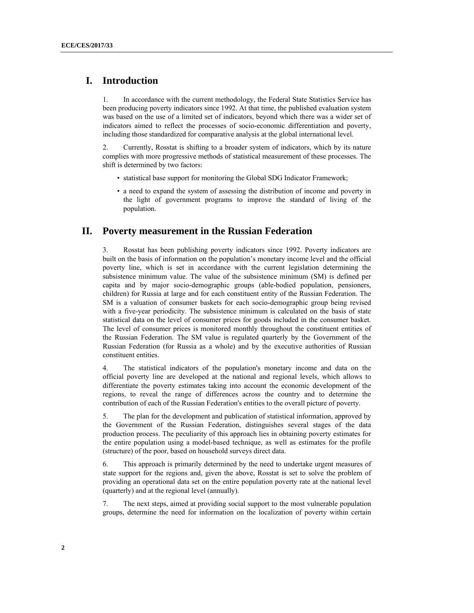# **I. Introduction**

1. In accordance with the current methodology, the Federal State Statistics Service has been producing poverty indicators since 1992. At that time, the published evaluation system was based on the use of a limited set of indicators, beyond which there was a wider set of indicators aimed to reflect the processes of socio-economic differentiation and poverty, including those standardized for comparative analysis at the global international level.

2. Currently, Rosstat is shifting to a broader system of indicators, which by its nature complies with more progressive methods of statistical measurement of these processes. The shift is determined by two factors:

- statistical base support for monitoring the Global SDG Indicator Framework;
- a need to expand the system of assessing the distribution of income and poverty in the light of government programs to improve the standard of living of the population.

# **II. Poverty measurement in the Russian Federation**

3. Rosstat has been publishing poverty indicators since 1992. Poverty indicators are built on the basis of information on the population's monetary income level and the official poverty line, which is set in accordance with the current legislation determining the subsistence minimum value. The value of the subsistence minimum (SM) is defined per capita and by major socio-demographic groups (able-bodied population, pensioners, children) for Russia at large and for each constituent entity of the Russian Federation. The SM is a valuation of consumer baskets for each socio-demographic group being revised with a five-year periodicity. The subsistence minimum is calculated on the basis of state statistical data on the level of consumer prices for goods included in the consumer basket. The level of consumer prices is monitored monthly throughout the constituent entities of the Russian Federation. The SM value is regulated quarterly by the Government of the Russian Federation (for Russia as a whole) and by the executive authorities of Russian constituent entities.

4. The statistical indicators of the population's monetary income and data on the official poverty line are developed at the national and regional levels, which allows to differentiate the poverty estimates taking into account the economic development of the regions, to reveal the range of differences across the country and to determine the contribution of each of the Russian Federation's entities to the overall picture of poverty.

5. The plan for the development and publication of statistical information, approved by the Government of the Russian Federation, distinguishes several stages of the data production process. The peculiarity of this approach lies in obtaining poverty estimates for the entire population using a model-based technique, as well as estimates for the profile (structure) of the poor, based on household surveys direct data.

6. This approach is primarily determined by the need to undertake urgent measures of state support for the regions and, given the above, Rosstat is set to solve the problem of providing an operational data set on the entire population poverty rate at the national level (quarterly) and at the regional level (annually).

7. The next steps, aimed at providing social support to the most vulnerable population groups, determine the need for information on the localization of poverty within certain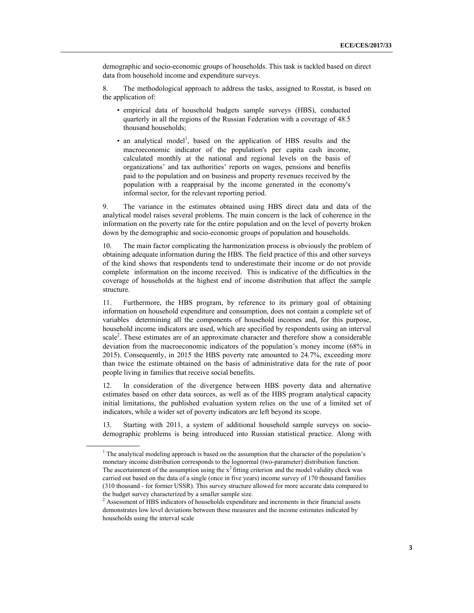demographic and socio-economic groups of households. This task is tackled based on direct data from household income and expenditure surveys.

8. The methodological approach to address the tasks, assigned to Rosstat, is based on the application of:

- empirical data of household budgets sample surveys (HBS), conducted quarterly in all the regions of the Russian Federation with a coverage of 48.5 thousand households;
- $\bullet$  an analytical model<sup>1</sup>, based on the application of HBS results and the macroeconomic indicator of the population's per capita cash income, calculated monthly at the national and regional levels on the basis of organizations' and tax authorities' reports on wages, pensions and benefits paid to the population and on business and property revenues received by the population with a reappraisal by the income generated in the economy's informal sector, for the relevant reporting period.

9. The variance in the estimates obtained using HBS direct data and data of the analytical model raises several problems. The main concern is the lack of coherence in the information on the poverty rate for the entire population and on the level of poverty broken down by the demographic and socio-economic groups of population and households.

10. The main factor complicating the harmonization process is obviously the problem of obtaining adequate information during the HBS. The field practice of this and other surveys of the kind shows that respondents tend to underestimate their income or do not provide complete information on the income received. This is indicative of the difficulties in the coverage of households at the highest end of income distribution that affect the sample structure.

11. Furthermore, the HBS program, by reference to its primary goal of obtaining information on household expenditure and consumption, does not contain a complete set of variables determining all the components of household incomes and, for this purpose, household income indicators are used, which are specified by respondents using an interval scale<sup>2</sup>. These estimates are of an approximate character and therefore show a considerable deviation from the macroeconomic indicators of the population's money income (68% in 2015). Consequently, in 2015 the HBS poverty rate amounted to 24.7%, exceeding more than twice the estimate obtained on the basis of administrative data for the rate of poor people living in families that receive social benefits.

12. In consideration of the divergence between HBS poverty data and alternative estimates based on other data sources, as well as of the HBS program analytical capacity initial limitations, the published evaluation system relies on the use of a limited set of indicators, while a wider set of poverty indicators are left beyond its scope.

13. Starting with 2011, a system of additional household sample surveys on sociodemographic problems is being introduced into Russian statistical practice. Along with

 $\overline{a}$ 

<sup>1</sup>  $1$ <sup>1</sup> The analytical modeling approach is based on the assumption that the character of the population's monetary income distribution corresponds to the lognormal (two-parameter) distribution function. The ascertainment of the assumption using the  $x^2$  fitting criterion and the model validity check was carried out based on the data of a single (once in five years) income survey of 170 thousand families (310 thousand - for former USSR). This survey structure allowed for more accurate data compared to the budget survey characterized by a smaller sample size.

<sup>2</sup>  $2$  Assessment of HBS indicators of households expenditure and increments in their financial assets demonstrates low level deviations between these measures and the income estimates indicated by households using the interval scale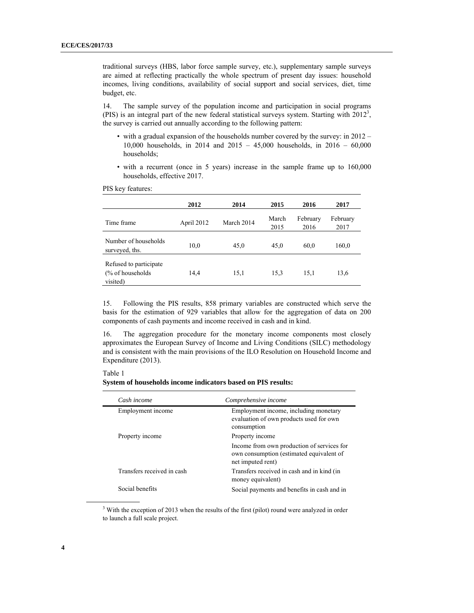traditional surveys (HBS, labor force sample survey, etc.), supplementary sample surveys are aimed at reflecting practically the whole spectrum of present day issues: household incomes, living conditions, availability of social support and social services, diet, time budget, etc.

14. The sample survey of the population income and participation in social programs (PIS) is an integral part of the new federal statistical surveys system. Starting with  $2012<sup>3</sup>$ , the survey is carried out annually according to the following pattern:

- with a gradual expansion of the households number covered by the survey: in 2012 10,000 households, in 2014 and 2015 – 45,000 households, in 2016 – 60,000 households;
- with a recurrent (once in 5 years) increase in the sample frame up to 160,000 households, effective 2017.

PIS key features:

|                                                         | 2012       | 2014       | 2015          | 2016             | 2017             |
|---------------------------------------------------------|------------|------------|---------------|------------------|------------------|
| Time frame                                              | April 2012 | March 2014 | March<br>2015 | February<br>2016 | February<br>2017 |
| Number of households<br>surveyed, ths.                  | 10,0       | 45,0       | 45,0          | 60,0             | 160,0            |
| Refused to participate<br>(% of households)<br>visited) | 14,4       | 15,1       | 15,3          | 15,1             | 13,6             |

15. Following the PIS results, 858 primary variables are constructed which serve the basis for the estimation of 929 variables that allow for the aggregation of data on 200 components of cash payments and income received in cash and in kind.

16. The aggregation procedure for the monetary income components most closely approximates the European Survey of Income and Living Conditions (SILC) methodology and is consistent with the main provisions of the ILO Resolution on Household Income and Expenditure (2013).

#### Table 1

**System of households income indicators based on PIS results:** 

| Cash income                | Comprehensive income                                                                                        |
|----------------------------|-------------------------------------------------------------------------------------------------------------|
| Employment income          | Employment income, including monetary<br>evaluation of own products used for own<br>consumption             |
| Property income            | Property income                                                                                             |
|                            | Income from own production of services for<br>own consumption (estimated equivalent of<br>net imputed rent) |
| Transfers received in cash | Transfers received in cash and in kind (in<br>money equivalent)                                             |
| Social benefits            | Social payments and benefits in cash and in                                                                 |

 <sup>3</sup>  $3$  With the exception of 2013 when the results of the first (pilot) round were analyzed in order to launch a full scale project.

 $\overline{a}$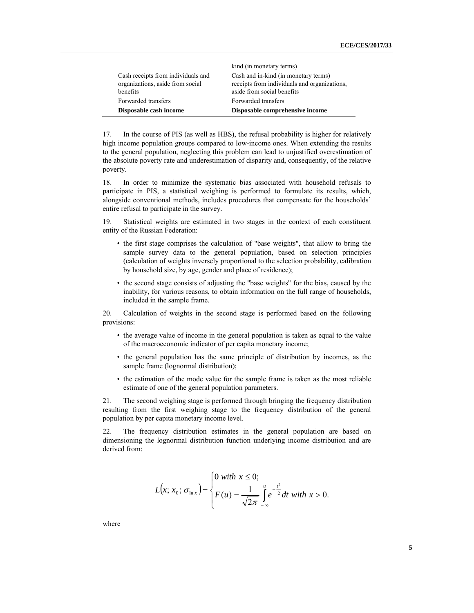| Disposable cash income                                                             | Disposable comprehensive income                                                                                    |
|------------------------------------------------------------------------------------|--------------------------------------------------------------------------------------------------------------------|
| Forwarded transfers                                                                | Forwarded transfers                                                                                                |
| Cash receipts from individuals and<br>organizations, aside from social<br>benefits | Cash and in-kind (in monetary terms)<br>receipts from individuals and organizations,<br>aside from social benefits |
|                                                                                    | kind (in monetary terms)                                                                                           |

17. In the course of PIS (as well as HBS), the refusal probability is higher for relatively high income population groups compared to low-income ones. When extending the results to the general population, neglecting this problem can lead to unjustified overestimation of the absolute poverty rate and underestimation of disparity and, consequently, of the relative poverty.

18. In order to minimize the systematic bias associated with household refusals to participate in PIS, a statistical weighing is performed to formulate its results, which, alongside conventional methods, includes procedures that compensate for the households' entire refusal to participate in the survey.

19. Statistical weights are estimated in two stages in the context of each constituent entity of the Russian Federation:

- the first stage comprises the calculation of "base weights", that allow to bring the sample survey data to the general population, based on selection principles (calculation of weights inversely proportional to the selection probability, calibration by household size, by age, gender and place of residence);
- the second stage consists of adjusting the "base weights" for the bias, caused by the inability, for various reasons, to obtain information on the full range of households, included in the sample frame.

20. Calculation of weights in the second stage is performed based on the following provisions:

- the average value of income in the general population is taken as equal to the value of the macroeconomic indicator of per capita monetary income;
- the general population has the same principle of distribution by incomes, as the sample frame (lognormal distribution);
- the estimation of the mode value for the sample frame is taken as the most reliable estimate of one of the general population parameters.

21. The second weighing stage is performed through bringing the frequency distribution resulting from the first weighing stage to the frequency distribution of the general population by per capita monetary income level.

22. The frequency distribution estimates in the general population are based on dimensioning the lognormal distribution function underlying income distribution and are derived from:

$$
L(x; x_0; \sigma_{\ln x}) = \begin{cases} 0 \text{ with } x \le 0; \\ F(u) = \frac{1}{\sqrt{2\pi}} \int_{-\infty}^{u} e^{-\frac{t^2}{2}} dt \text{ with } x > 0. \end{cases}
$$

where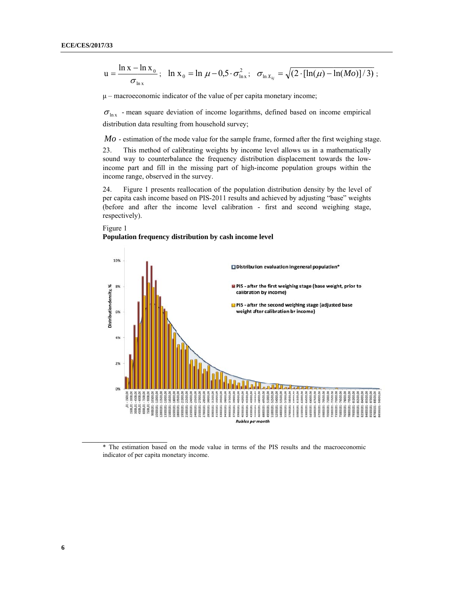$$
u = \frac{\ln x - \ln x_0}{\sigma_{\ln x}}; \quad \ln x_0 = \ln \mu - 0.5 \cdot \sigma_{\ln x}^2; \quad \sigma_{\ln x_{kj}} = \sqrt{(2 \cdot [\ln(\mu) - \ln(Mo)]/3)};
$$

 $\mu$  – macroeconomic indicator of the value of per capita monetary income;

 $\sigma_{\ln x}$  - mean square deviation of income logarithms, defined based on income empirical distribution data resulting from household survey;

 $Mo$  - estimation of the mode value for the sample frame, formed after the first weighing stage.

This method of calibrating weights by income level allows us in a mathematically 23. sound way to counterbalance the frequency distribution displacement towards the lowincome part and fill in the missing part of high-income population groups within the income range, observed in the survey.

Figure 1 presents reallocation of the population distribution density by the level of 24. per capita cash income based on PIS-2011 results and achieved by adjusting "base" weights (before and after the income level calibration - first and second weighing stage, respectively).

Figure 1 Population frequency distribution by cash income level



\* The estimation based on the mode value in terms of the PIS results and the macroeconomic indicator of per capita monetary income.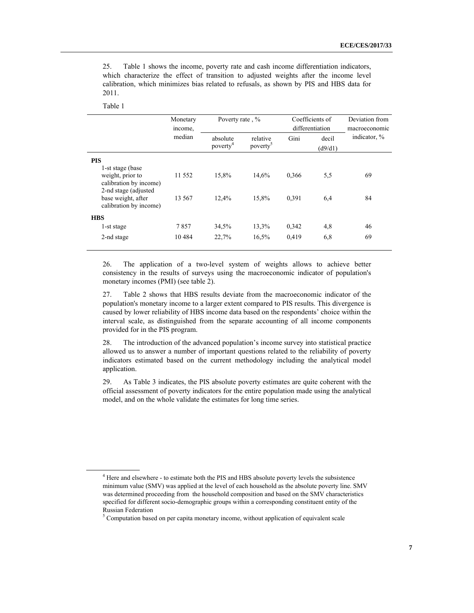25. Table 1 shows the income, poverty rate and cash income differentiation indicators, which characterize the effect of transition to adjusted weights after the income level calibration, which minimizes bias related to refusals, as shown by PIS and HBS data for 2011.

 $\overline{a}$ 

| Monetary<br>income, |                                  |                                  |                 |                  | Deviation from<br>macroeconomic    |
|---------------------|----------------------------------|----------------------------------|-----------------|------------------|------------------------------------|
| median              | absolute<br>poverty <sup>4</sup> | relative<br>poverty <sup>3</sup> | Gini            | decil<br>(d9/d1) | indicator, %                       |
|                     |                                  |                                  |                 |                  |                                    |
| 11 552<br>13 5 67   | 15,8%<br>12.4%                   | 14.6%<br>15.8%                   | 0.366<br>0.391  | 5,5<br>6,4       | 69<br>84                           |
|                     |                                  |                                  |                 |                  |                                    |
| 7857                | 34,5%                            | 13,3%                            | 0,342           | 4,8              | 46                                 |
| 10484               | 22,7%                            | 16,5%                            | 0,419           | 6,8              | 69                                 |
|                     |                                  |                                  | Poverty rate, % |                  | Coefficients of<br>differentiation |

26. The application of a two-level system of weights allows to achieve better consistency in the results of surveys using the macroeconomic indicator of population's monetary incomes (PMI) (see table 2).

27. Table 2 shows that HBS results deviate from the macroeconomic indicator of the population's monetary income to a larger extent compared to PIS results. This divergence is caused by lower reliability of HBS income data based on the respondents' choice within the interval scale, as distinguished from the separate accounting of all income components provided for in the PIS program.

28. The introduction of the advanced population's income survey into statistical practice allowed us to answer a number of important questions related to the reliability of poverty indicators estimated based on the current methodology including the analytical model application.

29. As Table 3 indicates, the PIS absolute poverty estimates are quite coherent with the official assessment of poverty indicators for the entire population made using the analytical model, and on the whole validate the estimates for long time series.

<sup>&</sup>lt;sup>4</sup> Here and elsewhere - to estimate both the PIS and HBS absolute poverty levels the subsistence minimum value (SMV) was applied at the level of each household as the absolute poverty line. SMV was determined proceeding from the household composition and based on the SMV characteristics specified for different socio-demographic groups within a corresponding constituent entity of the Russian Federation

<sup>&</sup>lt;sup>5</sup> Computation based on per capita monetary income, without application of equivalent scale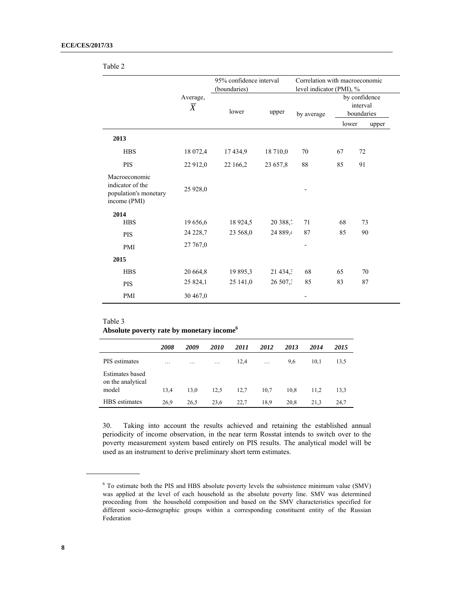|                                                                            |                       | 95% confidence interval<br>(boundaries) |                      | Correlation with macroeconomic<br>level indicator (PMI), % |                                         |          |       |
|----------------------------------------------------------------------------|-----------------------|-----------------------------------------|----------------------|------------------------------------------------------------|-----------------------------------------|----------|-------|
|                                                                            |                       |                                         |                      |                                                            |                                         |          |       |
|                                                                            | Average,<br>$\bar{X}$ | lower                                   | upper                | by average                                                 | by confidence<br>interval<br>boundaries |          |       |
|                                                                            |                       |                                         |                      |                                                            | lower                                   |          | upper |
| 2013                                                                       |                       |                                         |                      |                                                            |                                         |          |       |
| <b>HBS</b>                                                                 | 18 072,4              | 17 434,9                                | 18 710,0             | 70                                                         | 67                                      | 72       |       |
| <b>PIS</b>                                                                 | 22 912,0              | 22 166,2                                | 23 657,8             | 88                                                         | 85                                      | 91       |       |
| Macroeconomic<br>indicator of the<br>population's monetary<br>income (PMI) | 25 928,0              |                                         |                      |                                                            |                                         |          |       |
| 2014                                                                       |                       |                                         |                      | 71                                                         | 68                                      |          |       |
| <b>HBS</b><br><b>PIS</b>                                                   | 19 656,6<br>24 228,7  | 18 9 24, 5<br>23 568,0                  | 20 388,7<br>24 889,4 | 87                                                         | 85                                      | 73<br>90 |       |
| PMI                                                                        | 27 767,0              |                                         |                      | $\overline{\phantom{0}}$                                   |                                         |          |       |
| 2015                                                                       |                       |                                         |                      |                                                            |                                         |          |       |
| <b>HBS</b>                                                                 | 20 664,8              | 19 895,3                                | $21\,434.3$          | 68                                                         | 65                                      | 70       |       |
| <b>PIS</b>                                                                 | 25 824,1              | 25 141,0                                | 26 507.              | 85                                                         | 83                                      | 87       |       |
| PMI                                                                        | 30 467,0              |                                         |                      |                                                            |                                         |          |       |
|                                                                            |                       |                                         |                      |                                                            |                                         |          |       |

### Table 2

Table 3 **Absolute poverty rate by monetary income6**

|                                                      | 2008                    | 2009                    | 2010 | 2011 | 2012 | 2013 | 2014 | 2015 |
|------------------------------------------------------|-------------------------|-------------------------|------|------|------|------|------|------|
| PIS estimates                                        | $\cdot$ $\cdot$ $\cdot$ | $\cdot$ $\cdot$ $\cdot$ | .    | 12,4 | .    | 9,6  | 10,1 | 13.5 |
| <b>Estimates</b> based<br>on the analytical<br>model | 13,4                    | 13,0                    | 12.5 | 12,7 | 10.7 | 10.8 | 11.2 | 13.3 |
| HBS estimates                                        | 26.9                    | 26,5                    | 23,6 | 22.7 | 18.9 | 20.8 | 21.3 | 24,7 |

30. Taking into account the results achieved and retaining the established annual periodicity of income observation, in the near term Rosstat intends to switch over to the poverty measurement system based entirely on PIS results. The analytical model will be used as an instrument to derive preliminary short term estimates.

 $\overline{a}$ 

 $\overline{a}$ 

<sup>&</sup>lt;sup>6</sup> To estimate both the PIS and HBS absolute poverty levels the subsistence minimum value (SMV) was applied at the level of each household as the absolute poverty line. SMV was determined proceeding from the household composition and based on the SMV characteristics specified for different socio-demographic groups within a corresponding constituent entity of the Russian Federation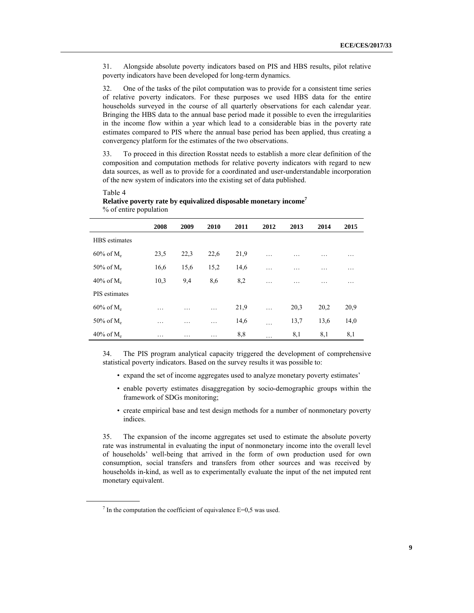31. Alongside absolute poverty indicators based on PIS and HBS results, pilot relative poverty indicators have been developed for long-term dynamics.

32. One of the tasks of the pilot computation was to provide for a consistent time series of relative poverty indicators. For these purposes we used HBS data for the entire households surveyed in the course of all quarterly observations for each calendar year. Bringing the HBS data to the annual base period made it possible to even the irregularities in the income flow within a year which lead to a considerable bias in the poverty rate estimates compared to PIS where the annual base period has been applied, thus creating a convergency platform for the estimates of the two observations.

33. To proceed in this direction Rosstat needs to establish a more clear definition of the composition and computation methods for relative poverty indicators with regard to new data sources, as well as to provide for a coordinated and user-understandable incorporation of the new system of indicators into the existing set of data published.

# Table 4

 $\overline{a}$ 

|                          | 2008 | 2009            | 2010 | 2011 | 2012     | 2013 | 2014 | 2015 |
|--------------------------|------|-----------------|------|------|----------|------|------|------|
| <b>HBS</b> estimates     |      |                 |      |      |          |      |      |      |
| $60\%$ of M <sub>e</sub> | 23,5 | 22,3            | 22,6 | 21,9 | $\cdots$ | .    | .    | .    |
| 50% of $M_e$             | 16,6 | 15,6            | 15,2 | 14,6 | .        | .    | .    | .    |
| $40\%$ of M <sub>e</sub> | 10,3 | 9,4             | 8,6  | 8,2  | .        | .    | .    | .    |
| PIS estimates            |      |                 |      |      |          |      |      |      |
| $60\%$ of M <sub>e</sub> | .    | .               | .    | 21,9 | $\cdots$ | 20,3 | 20,2 | 20,9 |
| 50% of $M_e$             | .    | $\cdot$ $\cdot$ | .    | 14,6 | .        | 13,7 | 13,6 | 14,0 |
| $40\%$ of M <sub>e</sub> | .    | .               | .    | 8,8  | .        | 8,1  | 8,1  | 8,1  |

**Relative poverty rate by equivalized disposable monetary income<sup>7</sup>** % of entire population

34. The PIS program analytical capacity triggered the development of comprehensive statistical poverty indicators. Based on the survey results it was possible to:

- expand the set of income aggregates used to analyze monetary poverty estimates'
- enable poverty estimates disaggregation by socio-demographic groups within the framework of SDGs monitoring;
- create empirical base and test design methods for a number of nonmonetary poverty indices.

35. The expansion of the income aggregates set used to estimate the absolute poverty rate was instrumental in evaluating the input of nonmonetary income into the overall level of households' well-being that arrived in the form of own production used for own consumption, social transfers and transfers from other sources and was received by households in-kind, as well as to experimentally evaluate the input of the net imputed rent monetary equivalent.

<sup>7</sup>  $\frac{7}{1}$  In the computation the coefficient of equivalence E=0,5 was used.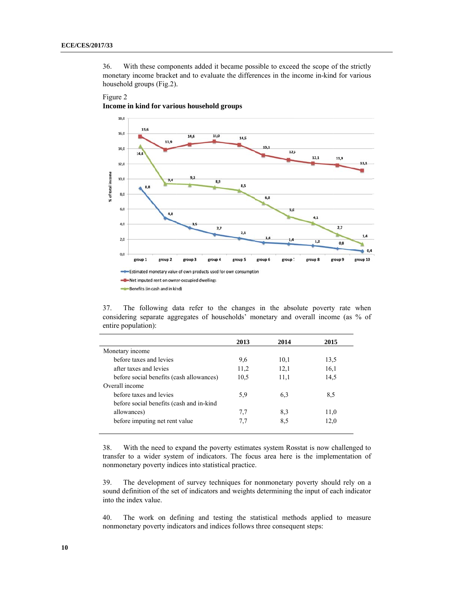With these components added it became possible to exceed the scope of the strictly 36. monetary income bracket and to evaluate the differences in the income in-kind for various household groups (Fig.2).

#### 18,0 15,6 16,0 15,0 14,6 14,5 13,9  $13.1$ 14,0  $12,5$  $14,4$ 12,1 11,9  $11.1$ 12,0 % of total income 10.0  $B,9$  $8,5$  $_{\rm 8,0}$  $6,8$ 6,0 5.0 4,8  $4,1$  $4,0$  $2,7$  $2,7$  $2,1$  $1,4$  $1.6$  $2,0$ 1,2  $0,8$  $0.4$  $0,0$ **up 10** group 1 group 2 group 4 gn group! -Estimated monetary value of own products used for own consumption -T-Net imputed rent on owner-occupied dwellings Benefits (in cash and in kind)



The following data refer to the changes in the absolute poverty rate when 37. considering separate aggregates of households' monetary and overall income (as % of entire population):

|                                          | 2013 | 2014 | 2015 |
|------------------------------------------|------|------|------|
| Monetary income                          |      |      |      |
| before taxes and levies                  | 9,6  | 10,1 | 13,5 |
| after taxes and levies                   | 11,2 | 12,1 | 16,1 |
| before social benefits (cash allowances) | 10,5 | 11,1 | 14,5 |
| Overall income                           |      |      |      |
| before taxes and levies                  | 5.9  | 6,3  | 8.5  |
| before social benefits (cash and in-kind |      |      |      |
| allowances)                              | 7.7  | 8,3  | 11,0 |
| before imputing net rent value           | 7.7  | 8.5  | 12,0 |
|                                          |      |      |      |

With the need to expand the poverty estimates system Rosstat is now challenged to 38. transfer to a wider system of indicators. The focus area here is the implementation of nonmonetary poverty indices into statistical practice.

39. The development of survey techniques for nonmonetary poverty should rely on a sound definition of the set of indicators and weights determining the input of each indicator into the index value.

40. The work on defining and testing the statistical methods applied to measure nonmonetary poverty indicators and indices follows three consequent steps: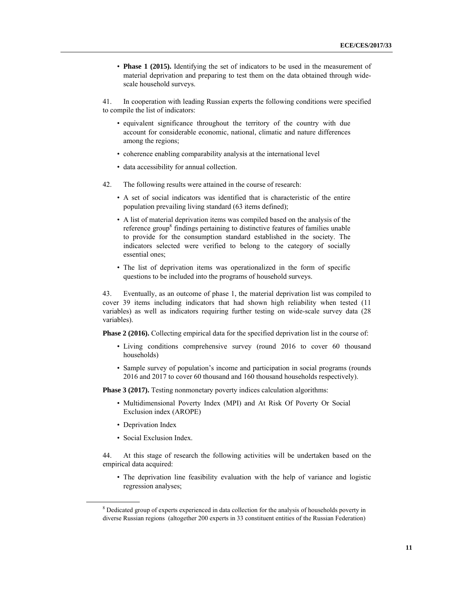• **Phase 1 (2015).** Identifying the set of indicators to be used in the measurement of material deprivation and preparing to test them on the data obtained through widescale household surveys.

41. In cooperation with leading Russian experts the following conditions were specified to compile the list of indicators:

- equivalent significance throughout the territory of the country with due account for considerable economic, national, climatic and nature differences among the regions;
- coherence enabling comparability analysis at the international level
- data accessibility for annual collection.
- 42. The following results were attained in the course of research:
	- A set of social indicators was identified that is characteristic of the entire population prevailing living standard (63 items defined);
	- A list of material deprivation items was compiled based on the analysis of the reference group<sup>8</sup> findings pertaining to distinctive features of families unable to provide for the consumption standard established in the society. The indicators selected were verified to belong to the category of socially essential ones;
	- The list of deprivation items was operationalized in the form of specific questions to be included into the programs of household surveys.

43. Eventually, as an outcome of phase 1, the material deprivation list was compiled to cover 39 items including indicators that had shown high reliability when tested (11 variables) as well as indicators requiring further testing on wide-scale survey data (28 variables).

**Phase 2 (2016).** Collecting empirical data for the specified deprivation list in the course of:

- Living conditions comprehensive survey (round 2016 to cover 60 thousand households)
- Sample survey of population's income and participation in social programs (rounds 2016 and 2017 to cover 60 thousand and 160 thousand households respectively).

**Phase 3 (2017).** Testing nonmonetary poverty indices calculation algorithms:

- Multidimensional Poverty Index (MPI) and At Risk Of Poverty Or Social Exclusion index (AROPE)
- Deprivation Index

 $\overline{a}$ 

• Social Exclusion Index.

44. At this stage of research the following activities will be undertaken based on the empirical data acquired:

• The deprivation line feasibility evaluation with the help of variance and logistic regression analyses;

<sup>8</sup> <sup>8</sup> Dedicated group of experts experienced in data collection for the analysis of households poverty in diverse Russian regions (altogether 200 experts in 33 constituent entities of the Russian Federation)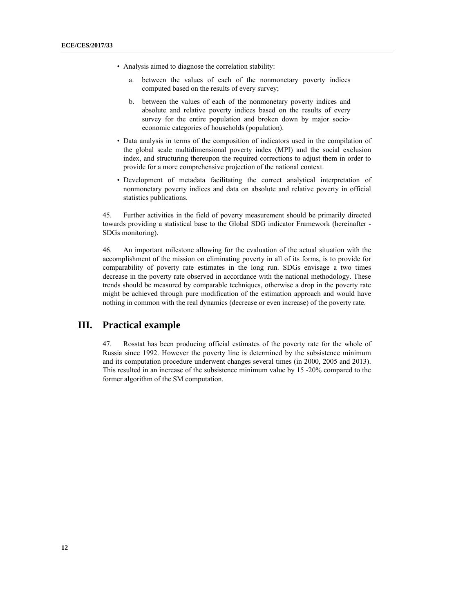- Analysis aimed to diagnose the correlation stability:
	- a. between the values of each of the nonmonetary poverty indices computed based on the results of every survey;
	- b. between the values of each of the nonmonetary poverty indices and absolute and relative poverty indices based on the results of every survey for the entire population and broken down by major socioeconomic categories of households (population).
- Data analysis in terms of the composition of indicators used in the compilation of the global scale multidimensional poverty index (MPI) and the social exclusion index, and structuring thereupon the required corrections to adjust them in order to provide for a more comprehensive projection of the national context.
- Development of metadata facilitating the correct analytical interpretation of nonmonetary poverty indices and data on absolute and relative poverty in official statistics publications.

45. Further activities in the field of poverty measurement should be primarily directed towards providing a statistical base to the Global SDG indicator Framework (hereinafter - SDGs monitoring).

46. An important milestone allowing for the evaluation of the actual situation with the accomplishment of the mission on eliminating poverty in all of its forms, is to provide for comparability of poverty rate estimates in the long run. SDGs envisage a two times decrease in the poverty rate observed in accordance with the national methodology. These trends should be measured by comparable techniques, otherwise a drop in the poverty rate might be achieved through pure modification of the estimation approach and would have nothing in common with the real dynamics (decrease or even increase) of the poverty rate.

# **III. Practical example**

47. Rosstat has been producing official estimates of the poverty rate for the whole of Russia since 1992. However the poverty line is determined by the subsistence minimum and its computation procedure underwent changes several times (in 2000, 2005 and 2013). This resulted in an increase of the subsistence minimum value by 15 -20% compared to the former algorithm of the SM computation.